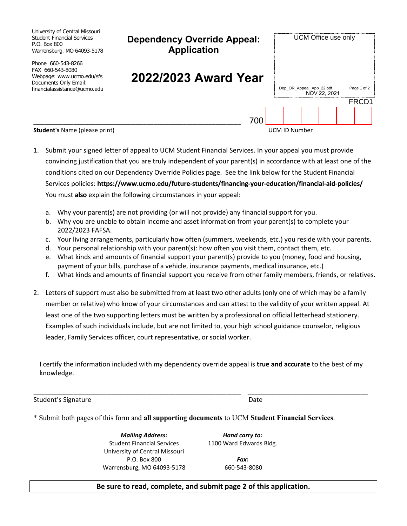University of Central Missouri Student Financial Services P.O. Box 800 Warrensburg, MO 64093-5178

Phone 660-543-8266 FAX 660-543-8080 Webpage: www.ucmo.edu/sfs Documents Only Email: financialassistance@ucmo.edu

**Dependency Override Appeal: Application 2022/2023 Award Year** UCM Office use only Dep\_OR\_Appeal\_App\_22.pdf Page 1 of 2 NOV 22, 2021 FRCD1

**Student's** Name (please print) **Student's** Name (please print)

1. Submit your signed letter of appeal to UCM Student Financial Services. In your appeal you must provide convincing justification that you are truly independent of your parent(s) in accordance with at least one of the conditions cited on our Dependency Override Policies page. See the link below for the Student Financial Services policies: **https://www.ucmo.edu/future-students/financing-your-education/financial-aid-policies/** You must **also** explain the following circumstances in your appeal:

\_\_\_\_\_\_\_\_\_\_\_\_\_\_\_\_\_\_\_\_\_\_\_\_\_\_\_\_\_\_\_\_\_\_\_\_\_\_\_\_\_\_\_\_\_\_\_\_\_\_\_\_\_\_\_\_\_ 700 \_\_\_\_\_\_\_\_\_\_\_\_\_\_\_\_\_\_\_\_\_\_\_

- a. Why your parent(s) are not providing (or will not provide) any financial support for you.
- b. Why you are unable to obtain income and asset information from your parent(s) to complete your 2022/2023 FAFSA.
- c. Your living arrangements, particularly how often (summers, weekends, etc.) you reside with your parents.
- d. Your personal relationship with your parent(s): how often you visit them, contact them, etc.
- e. What kinds and amounts of financial support your parent(s) provide to you (money, food and housing, payment of your bills, purchase of a vehicle, insurance payments, medical insurance, etc.)
- f. What kinds and amounts of financial support you receive from other family members, friends, or relatives.
- 2. Letters of support must also be submitted from at least two other adults (only one of which may be a family member or relative) who know of your circumstances and can attest to the validity of your written appeal. At least one of the two supporting letters must be written by a professional on official letterhead stationery. Examples of such individuals include, but are not limited to, your high school guidance counselor, religious leader, Family Services officer, court representative, or social worker.

I certify the information included with my dependency override appeal is **true and accurate** to the best of my knowledge.

\_\_\_\_\_\_\_\_\_\_\_\_\_\_\_\_\_\_\_\_\_\_\_\_\_\_\_\_\_\_\_\_\_\_\_\_\_\_\_\_\_\_\_\_\_\_\_\_\_\_\_\_\_\_\_\_\_ \_\_\_\_\_\_\_\_\_\_\_\_\_\_\_\_\_\_\_\_\_\_\_\_\_\_\_\_\_\_\_\_\_

Student's Signature **Date** Date of the Date of the Date of the Date of the Date of the Date of the Date of the Date of the Date of the Date of the Date of the Date of the Date of the Date of the Date of the Date of the Dat

\* Submit both pages of this form and **all supporting documents** to UCM **Student Financial Services**.

*Mailing Address:*  Student Financial Services University of Central Missouri P.O. Box 800 Warrensburg, MO 64093-5178

*Hand carry to:* 1100 Ward Edwards Bldg.

> *Fax:* 660-543-8080